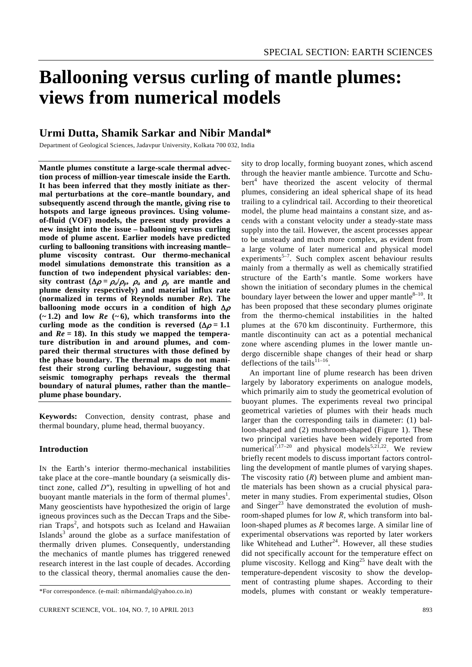# **Ballooning versus curling of mantle plumes: views from numerical models**

# **Urmi Dutta, Shamik Sarkar and Nibir Mandal\***

Department of Geological Sciences, Jadavpur University, Kolkata 700 032, India

**Mantle plumes constitute a large-scale thermal advection process of million-year timescale inside the Earth. It has been inferred that they mostly initiate as thermal perturbations at the core–mantle boundary, and subsequently ascend through the mantle, giving rise to hotspots and large igneous provinces. Using volumeof-fluid (VOF) models, the present study provides a new insight into the issue – ballooning versus curling mode of plume ascent. Earlier models have predicted curling to ballooning transitions with increasing mantle– plume viscosity contrast. Our thermo-mechanical model simulations demonstrate this transition as a function of two independent physical variables: density** contrast ( $\Delta \rho = \rho_a/\rho_p$ ,  $\rho_a$  and  $\rho_p$  are mantle and **plume density respectively) and material influx rate (normalized in terms of Reynolds number** *Re***). The ballooning mode occurs in a condition of high** Δ<sup>ρ</sup>  $(-1.2)$  and low  $Re(-6)$ , which transforms into the curling mode as the condition is reversed  $(\Delta \rho = 1.1$ **and** *Re* **= 18). In this study we mapped the temperature distribution in and around plumes, and compared their thermal structures with those defined by the phase boundary. The thermal maps do not manifest their strong curling behaviour, suggesting that seismic tomography perhaps reveals the thermal boundary of natural plumes, rather than the mantle– plume phase boundary.** 

**Keywords:** Convection, density contrast, phase and thermal boundary, plume head, thermal buoyancy.

# **Introduction**

IN the Earth's interior thermo-mechanical instabilities take place at the core–mantle boundary (a seismically distinct zone, called *D*″), resulting in upwelling of hot and buoyant mantle materials in the form of thermal plumes<sup>1</sup>. Many geoscientists have hypothesized the origin of large igneous provinces such as the Deccan Traps and the Sibe- $\pi$ ian Traps<sup>2</sup>, and hotspots such as Iceland and Hawaiian Islands<sup>3</sup> around the globe as a surface manifestation of thermally driven plumes. Consequently, understanding the mechanics of mantle plumes has triggered renewed research interest in the last couple of decades. According to the classical theory, thermal anomalies cause the density to drop locally, forming buoyant zones, which ascend through the heavier mantle ambience. Turcotte and Schu $bert<sup>4</sup>$  have theorized the ascent velocity of thermal plumes, considering an ideal spherical shape of its head trailing to a cylindrical tail. According to their theoretical model, the plume head maintains a constant size, and ascends with a constant velocity under a steady-state mass supply into the tail. However, the ascent processes appear to be unsteady and much more complex, as evident from a large volume of later numerical and physical model experiments<sup>5-7</sup>. Such complex ascent behaviour results mainly from a thermally as well as chemically stratified structure of the Earth's mantle. Some workers have shown the initiation of secondary plumes in the chemical boundary layer between the lower and upper mantle $8-10$ . It has been proposed that these secondary plumes originate from the thermo-chemical instabilities in the halted plumes at the 670 km discontinuity. Furthermore, this mantle discontinuity can act as a potential mechanical zone where ascending plumes in the lower mantle undergo discernible shape changes of their head or sharp deflections of the tails<sup>11–16</sup>.

 An important line of plume research has been driven largely by laboratory experiments on analogue models, which primarily aim to study the geometrical evolution of buoyant plumes. The experiments reveal two principal geometrical varieties of plumes with their heads much larger than the corresponding tails in diameter: (1) balloon-shaped and (2) mushroom-shaped (Figure 1). These two principal varieties have been widely reported from numerical<sup>7,17–20</sup> and physical models<sup>5,21,22</sup>. We review briefly recent models to discuss important factors controlling the development of mantle plumes of varying shapes. The viscosity ratio (*R*) between plume and ambient mantle materials has been shown as a crucial physical parameter in many studies. From experimental studies, Olson and  $Singer^{23}$  have demonstrated the evolution of mushroom-shaped plumes for low *R*, which transform into balloon-shaped plumes as *R* becomes large. A similar line of experimental observations was reported by later workers like Whitehead and Luther<sup>24</sup>. However, all these studies did not specifically account for the temperature effect on plume viscosity. Kellogg and  $King^{25}$  have dealt with the temperature-dependent viscosity to show the development of contrasting plume shapes. According to their models, plumes with constant or weakly temperature-

<sup>\*</sup>For correspondence. (e-mail: nibirmandal@yahoo.co.in)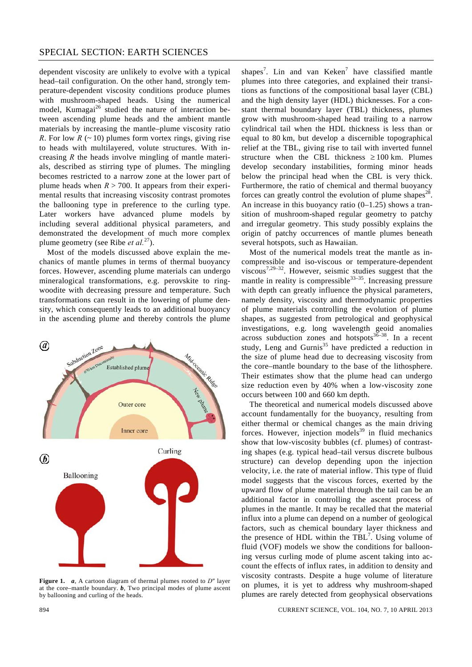dependent viscosity are unlikely to evolve with a typical head–tail configuration. On the other hand, strongly temperature-dependent viscosity conditions produce plumes with mushroom-shaped heads. Using the numerical model, Kumagai<sup>26</sup> studied the nature of interaction between ascending plume heads and the ambient mantle materials by increasing the mantle–plume viscosity ratio *R*. For low  $R$  ( $\sim$  10) plumes form vortex rings, giving rise to heads with multilayered, volute structures. With increasing *R* the heads involve mingling of mantle materials, described as stirring type of plumes. The mingling becomes restricted to a narrow zone at the lower part of plume heads when  $R > 700$ . It appears from their experimental results that increasing viscosity contrast promotes the ballooning type in preference to the curling type. Later workers have advanced plume models by including several additional physical parameters, and demonstrated the development of much more complex plume geometry (see Ribe *et al.*27).

 Most of the models discussed above explain the mechanics of mantle plumes in terms of thermal buoyancy forces. However, ascending plume materials can undergo mineralogical transformations, e.g. perovskite to ringwoodite with decreasing pressure and temperature. Such transformations can result in the lowering of plume density, which consequently leads to an additional buoyancy in the ascending plume and thereby controls the plume



**Figure 1.** *a*, A cartoon diagram of thermal plumes rooted to *D*″ layer at the core–mantle boundary. *b*, Two principal modes of plume ascent by ballooning and curling of the heads.

shapes<sup>7</sup>. Lin and van Keken<sup>7</sup> have classified mantle plumes into three categories, and explained their transitions as functions of the compositional basal layer (CBL) and the high density layer (HDL) thicknesses. For a constant thermal boundary layer (TBL) thickness, plumes grow with mushroom-shaped head trailing to a narrow cylindrical tail when the HDL thickness is less than or equal to 80 km, but develop a discernible topographical relief at the TBL, giving rise to tail with inverted funnel structure when the CBL thickness  $\geq 100$  km. Plumes develop secondary instabilities, forming minor heads below the principal head when the CBL is very thick. Furthermore, the ratio of chemical and thermal buoyancy forces can greatly control the evolution of plume shapes<sup>28</sup>. An increase in this buoyancy ratio  $(0-1.25)$  shows a transition of mushroom-shaped regular geometry to patchy and irregular geometry. This study possibly explains the origin of patchy occurrences of mantle plumes beneath several hotspots, such as Hawaiian.

 Most of the numerical models treat the mantle as incompressible and iso-viscous or temperature-dependent viscous<sup>7,29–32</sup>. However, seismic studies suggest that the mantle in reality is compressible<sup>33–35</sup>. Increasing pressure with depth can greatly influence the physical parameters, namely density, viscosity and thermodynamic properties of plume materials controlling the evolution of plume shapes, as suggested from petrological and geophysical investigations, e.g. long wavelength geoid anomalies across subduction zones and hotspots $36-38$ . In a recent study, Leng and Gurnis<sup>35</sup> have predicted a reduction in the size of plume head due to decreasing viscosity from the core–mantle boundary to the base of the lithosphere. Their estimates show that the plume head can undergo size reduction even by 40% when a low-viscosity zone occurs between 100 and 660 km depth.

 The theoretical and numerical models discussed above account fundamentally for the buoyancy, resulting from either thermal or chemical changes as the main driving forces. However, injection models<sup>39</sup> in fluid mechanics show that low-viscosity bubbles (cf. plumes) of contrasting shapes (e.g. typical head–tail versus discrete bulbous structure) can develop depending upon the injection velocity, i.e. the rate of material inflow. This type of fluid model suggests that the viscous forces, exerted by the upward flow of plume material through the tail can be an additional factor in controlling the ascent process of plumes in the mantle. It may be recalled that the material influx into a plume can depend on a number of geological factors, such as chemical boundary layer thickness and the presence of HDL within the TBL<sup>7</sup>. Using volume of fluid (VOF) models we show the conditions for ballooning versus curling mode of plume ascent taking into account the effects of influx rates, in addition to density and viscosity contrasts. Despite a huge volume of literature on plumes, it is yet to address why mushroom-shaped plumes are rarely detected from geophysical observations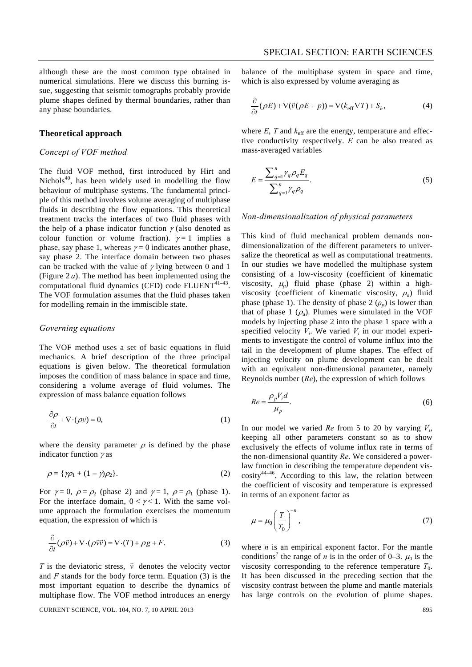although these are the most common type obtained in numerical simulations. Here we discuss this burning issue, suggesting that seismic tomographs probably provide plume shapes defined by thermal boundaries, rather than any phase boundaries.

## **Theoretical approach**

# *Concept of VOF method*

The fluid VOF method, first introduced by Hirt and Nichols<sup>40</sup>, has been widely used in modelling the flow behaviour of multiphase systems. The fundamental principle of this method involves volume averaging of multiphase fluids in describing the flow equations. This theoretical treatment tracks the interfaces of two fluid phases with the help of a phase indicator function  $\gamma$  (also denoted as colour function or volume fraction).  $\gamma = 1$  implies a phase, say phase 1, whereas  $\gamma = 0$  indicates another phase, say phase 2. The interface domain between two phases can be tracked with the value of  $\gamma$  lying between 0 and 1 (Figure 2 *a*). The method has been implemented using the computational fluid dynamics (CFD) code  $FLUENT<sup>41-43</sup>$ . The VOF formulation assumes that the fluid phases taken for modelling remain in the immiscible state.

#### *Governing equations*

The VOF method uses a set of basic equations in fluid mechanics. A brief description of the three principal equations is given below. The theoretical formulation imposes the condition of mass balance in space and time, considering a volume average of fluid volumes. The expression of mass balance equation follows

$$
\frac{\partial \rho}{\partial t} + \nabla \cdot (\rho v) = 0,\tag{1}
$$

where the density parameter  $\rho$  is defined by the phase indicator function  $\gamma$  as

$$
\rho = {\gamma \rho_1 + (1 - \gamma)\rho_2}.
$$
\n(2)

For  $\gamma = 0$ ,  $\rho = \rho_2$  (phase 2) and  $\gamma = 1$ ,  $\rho = \rho_1$  (phase 1). For the interface domain,  $0 < \gamma < 1$ . With the same volume approach the formulation exercises the momentum equation, the expression of which is

$$
\frac{\partial}{\partial t}(\rho \vec{v}) + \nabla \cdot (\rho \vec{v} \vec{v}) = \nabla \cdot (T) + \rho g + F. \tag{3}
$$

*T* is the deviatoric stress,  $\vec{v}$  denotes the velocity vector and *F* stands for the body force term. Equation (3) is the most important equation to describe the dynamics of multiphase flow. The VOF method introduces an energy

CURRENT SCIENCE, VOL. 104, NO. 7, 10 APRIL 2013 895

balance of the multiphase system in space and time, which is also expressed by volume averaging as

$$
\frac{\partial}{\partial t}(\rho E) + \nabla(\vec{v}(\rho E + p)) = \nabla(k_{\text{eff}} \nabla T) + S_h,\tag{4}
$$

where  $E$ ,  $T$  and  $k_{\text{eff}}$  are the energy, temperature and effective conductivity respectively. *E* can be also treated as mass-averaged variables

$$
E = \frac{\sum_{q=1}^{n} \gamma_q \rho_q E_q}{\sum_{q=1}^{n} \gamma_q \rho_q}.
$$
\n
$$
(5)
$$

#### *Non-dimensionalization of physical parameters*

This kind of fluid mechanical problem demands nondimensionalization of the different parameters to universalize the theoretical as well as computational treatments. In our studies we have modelled the multiphase system consisting of a low-viscosity (coefficient of kinematic viscosity,  $\mu_p$ ) fluid phase (phase 2) within a highviscosity (coefficient of kinematic viscosity, <sup>μ</sup>*a*) fluid phase (phase 1). The density of phase 2  $(\rho_p)$  is lower than that of phase 1  $(\rho_a)$ . Plumes were simulated in the VOF models by injecting phase 2 into the phase 1 space with a specified velocity  $V_i$ . We varied  $V_i$  in our model experiments to investigate the control of volume influx into the tail in the development of plume shapes. The effect of injecting velocity on plume development can be dealt with an equivalent non-dimensional parameter, namely Reynolds number (*Re*), the expression of which follows

$$
Re = \frac{\rho_p V_i d}{\mu_p}.
$$
 (6)

In our model we varied *Re* from 5 to 20 by varying *Vi*, keeping all other parameters constant so as to show exclusively the effects of volume influx rate in terms of the non-dimensional quantity *Re*. We considered a powerlaw function in describing the temperature dependent vis- $\cos$ ity<sup>44–46</sup>. According to this law, the relation between the coefficient of viscosity and temperature is expressed in terms of an exponent factor as

$$
\mu = \mu_0 \left(\frac{T}{T_0}\right)^{-n},\tag{7}
$$

where  $n$  is an empirical exponent factor. For the mantle conditions<sup>7</sup> the range of *n* is in the order of 0–3.  $\mu_0$  is the viscosity corresponding to the reference temperature  $T_0$ . It has been discussed in the preceding section that the viscosity contrast between the plume and mantle materials has large controls on the evolution of plume shapes.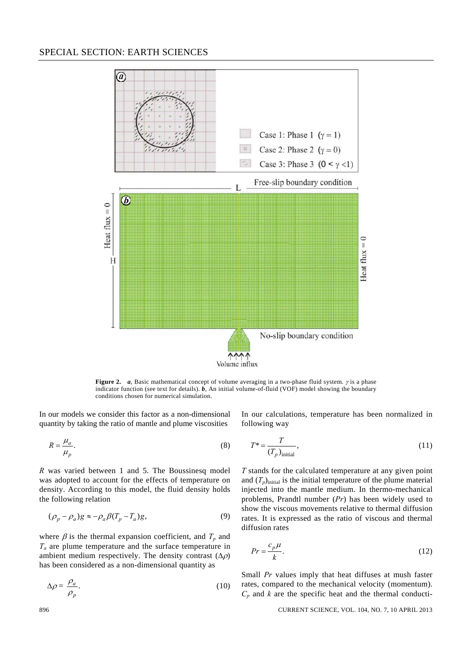

**Figure 2.** *a*, Basic mathematical concept of volume averaging in a two-phase fluid system. *γ* is a phase indicator function (see text for details). *b*, An initial volume-of-fluid (VOF) model showing the boundary conditions chosen for numerical simulation.

In our models we consider this factor as a non-dimensional quantity by taking the ratio of mantle and plume viscosities

$$
R = \frac{\mu_a}{\mu_p}.\tag{8}
$$

*R* was varied between 1 and 5. The Boussinesq model was adopted to account for the effects of temperature on density. According to this model, the fluid density holds the following relation

$$
(\rho_p - \rho_a)g \approx -\rho_a \beta (T_p - T_a)g,\tag{9}
$$

where  $\beta$  is the thermal expansion coefficient, and  $T_p$  and *Ta* are plume temperature and the surface temperature in ambient medium respectively. The density contrast  $(\Delta \rho)$ has been considered as a non-dimensional quantity as

$$
\Delta \rho = \frac{\rho_a}{\rho_p}.\tag{10}
$$

In our calculations, temperature has been normalized in following way

$$
T^* = \frac{T}{(T_p)_{\text{initial}}},\tag{11}
$$

*T* stands for the calculated temperature at any given point and  $(T_p)$ <sub>initial</sub> is the initial temperature of the plume material injected into the mantle medium. In thermo-mechanical problems, Prandtl number (*Pr*) has been widely used to show the viscous movements relative to thermal diffusion rates. It is expressed as the ratio of viscous and thermal diffusion rates

$$
Pr = \frac{c_p \mu}{k}.\tag{12}
$$

Small *Pr* values imply that heat diffuses at mush faster rates, compared to the mechanical velocity (momentum).  $C_p$  and  $k$  are the specific heat and the thermal conducti-

#### 896 CURRENT SCIENCE, VOL. 104, NO. 7, 10 APRIL 2013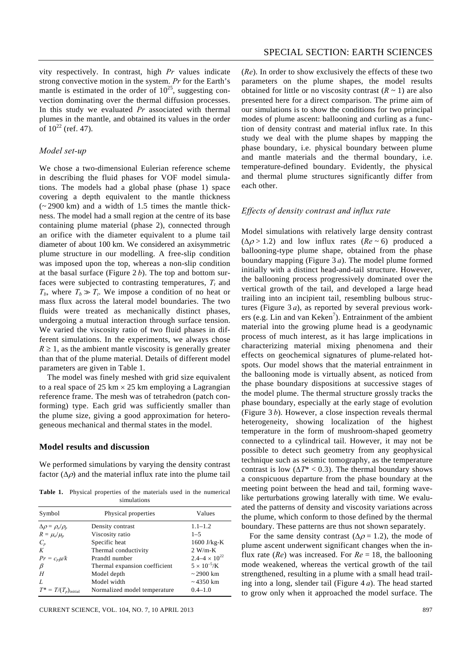vity respectively. In contrast, high *Pr* values indicate strong convective motion in the system. *Pr* for the Earth's mantle is estimated in the order of  $10^{25}$ , suggesting convection dominating over the thermal diffusion processes. In this study we evaluated *Pr* associated with thermal plumes in the mantle, and obtained its values in the order of  $10^{22}$  (ref. 47).

#### *Model set-up*

We chose a two-dimensional Eulerian reference scheme in describing the fluid phases for VOF model simulations. The models had a global phase (phase 1) space covering a depth equivalent to the mantle thickness  $(-2900 \text{ km})$  and a width of 1.5 times the mantle thickness. The model had a small region at the centre of its base containing plume material (phase 2), connected through an orifice with the diameter equivalent to a plume tail diameter of about 100 km. We considered an axisymmetric plume structure in our modelling. A free-slip condition was imposed upon the top, whereas a non-slip condition at the basal surface (Figure 2 *b*). The top and bottom surfaces were subjected to contrasting temperatures,  $T<sub>t</sub>$  and  $T_b$ , where  $T_b \gg T_t$ . We impose a condition of no heat or mass flux across the lateral model boundaries. The two fluids were treated as mechanically distinct phases, undergoing a mutual interaction through surface tension. We varied the viscosity ratio of two fluid phases in different simulations. In the experiments, we always chose  $R \geq 1$ , as the ambient mantle viscosity is generally greater than that of the plume material. Details of different model parameters are given in Table 1.

 The model was finely meshed with grid size equivalent to a real space of  $25 \text{ km} \times 25 \text{ km}$  employing a Lagrangian reference frame. The mesh was of tetrahedron (patch conforming) type. Each grid was sufficiently smaller than the plume size, giving a good approximation for heterogeneous mechanical and thermal states in the model.

#### **Model results and discussion**

We performed simulations by varying the density contrast factor  $(\Delta \rho)$  and the material influx rate into the plume tail

**Table 1.** Physical properties of the materials used in the numerical simulations

| Symbol                        | Physical properties           | Values                   |
|-------------------------------|-------------------------------|--------------------------|
| $\Delta \rho = \rho_a/\rho_b$ | Density contrast              | $1.1 - 1.2$              |
| $R = \mu_a/\mu_p$             | Viscosity ratio               | $1 - 5$                  |
| $C_p$                         | Specific heat                 | $1600$ J/kg-K            |
| K                             | Thermal conductivity          | $2 W/m-K$                |
| $Pr = c_p \mu/k$              | Prandtl number                | $2.4 - 4 \times 10^{22}$ |
| $\beta$                       | Thermal expansion coefficient | $5 \times 10^{-5}$ /K    |
| H                             | Model depth                   | $\sim$ 2900 km           |
| L                             | Model width                   | $\sim$ 4350 km           |
| $T^* = T/(T_p)_{initial}$     | Normalized model temperature  | $0.4 - 1.0$              |

CURRENT SCIENCE, VOL. 104, NO. 7, 10 APRIL 2013 897

(*Re*). In order to show exclusively the effects of these two parameters on the plume shapes, the model results obtained for little or no viscosity contrast  $(R \sim 1)$  are also presented here for a direct comparison. The prime aim of our simulations is to show the conditions for two principal modes of plume ascent: ballooning and curling as a function of density contrast and material influx rate. In this study we deal with the plume shapes by mapping the phase boundary, i.e. physical boundary between plume and mantle materials and the thermal boundary, i.e. temperature-defined boundary. Evidently, the physical and thermal plume structures significantly differ from each other.

#### *Effects of density contrast and influx rate*

Model simulations with relatively large density contrast  $(\Delta \rho > 1.2)$  and low influx rates ( $Re \sim 6$ ) produced a ballooning-type plume shape, obtained from the phase boundary mapping (Figure 3 *a*). The model plume formed initially with a distinct head-and-tail structure. However, the ballooning process progressively dominated over the vertical growth of the tail, and developed a large head trailing into an incipient tail, resembling bulbous structures (Figure 3 *a*), as reported by several previous workers (e.g. Lin and van Keken<sup>7</sup>). Entrainment of the ambient material into the growing plume head is a geodynamic process of much interest, as it has large implications in characterizing material mixing phenomena and their effects on geochemical signatures of plume-related hotspots. Our model shows that the material entrainment in the ballooning mode is virtually absent, as noticed from the phase boundary dispositions at successive stages of the model plume. The thermal structure grossly tracks the phase boundary, especially at the early stage of evolution (Figure 3 *b*). However, a close inspection reveals thermal heterogeneity, showing localization of the highest temperature in the form of mushroom-shaped geometry connected to a cylindrical tail. However, it may not be possible to detect such geometry from any geophysical technique such as seismic tomography, as the temperature contrast is low  $(\Delta T^* < 0.3)$ . The thermal boundary shows a conspicuous departure from the phase boundary at the meeting point between the head and tail, forming wavelike perturbations growing laterally with time. We evaluated the patterns of density and viscosity variations across the plume, which conform to those defined by the thermal boundary. These patterns are thus not shown separately.

For the same density contrast ( $\Delta \rho = 1.2$ ), the mode of plume ascent underwent significant changes when the influx rate ( $Re$ ) was increased. For  $Re = 18$ , the ballooning mode weakened, whereas the vertical growth of the tail strengthened, resulting in a plume with a small head trailing into a long, slender tail (Figure 4 *a*). The head started to grow only when it approached the model surface. The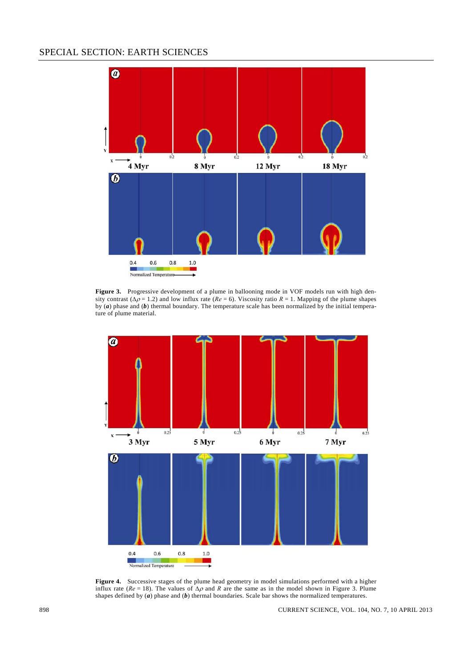# SPECIAL SECTION: EARTH SCIENCES



**Figure 3.** Progressive development of a plume in ballooning mode in VOF models run with high density contrast ( $\Delta \rho = 1.2$ ) and low influx rate ( $Re = 6$ ). Viscosity ratio  $R = 1$ . Mapping of the plume shapes by (*a*) phase and (*b*) thermal boundary. The temperature scale has been normalized by the initial temperature of plume material.



**Figure 4.** Successive stages of the plume head geometry in model simulations performed with a higher influx rate ( $Re = 18$ ). The values of  $\Delta \rho$  and *R* are the same as in the model shown in Figure 3. Plume shapes defined by (*a*) phase and (*b*) thermal boundaries. Scale bar shows the normalized temperatures.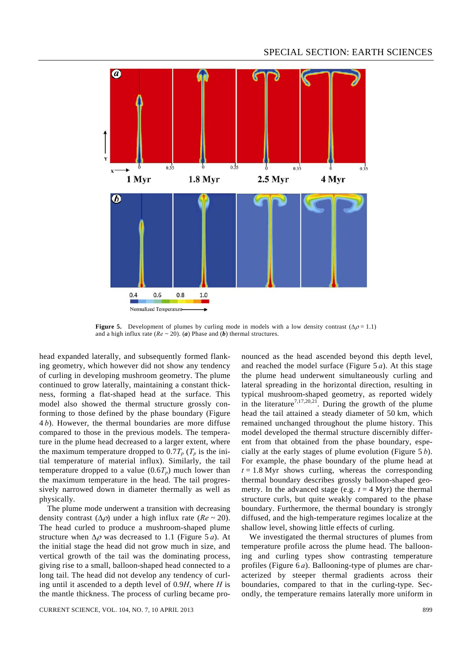

**Figure 5.** Development of plumes by curling mode in models with a low density contrast  $(\Delta \rho = 1.1)$ and a high influx rate ( $Re \sim 20$ ). (*a*) Phase and (*b*) thermal structures.

head expanded laterally, and subsequently formed flanking geometry, which however did not show any tendency of curling in developing mushroom geometry. The plume continued to grow laterally, maintaining a constant thickness, forming a flat-shaped head at the surface. This model also showed the thermal structure grossly conforming to those defined by the phase boundary (Figure 4 *b*). However, the thermal boundaries are more diffuse compared to those in the previous models. The temperature in the plume head decreased to a larger extent, where the maximum temperature dropped to  $0.7T_p$  ( $T_p$  is the initial temperature of material influx). Similarly, the tail temperature dropped to a value  $(0.6T_p)$  much lower than the maximum temperature in the head. The tail progressively narrowed down in diameter thermally as well as physically.

 The plume mode underwent a transition with decreasing density contrast  $(\Delta \rho)$  under a high influx rate  $(Re \sim 20)$ . The head curled to produce a mushroom-shaped plume structure when  $\Delta \rho$  was decreased to 1.1 (Figure 5 *a*). At the initial stage the head did not grow much in size, and vertical growth of the tail was the dominating process, giving rise to a small, balloon-shaped head connected to a long tail. The head did not develop any tendency of curling until it ascended to a depth level of 0.9*H*, where *H* is the mantle thickness. The process of curling became pro-

CURRENT SCIENCE, VOL. 104, NO. 7, 10 APRIL 2013 899

nounced as the head ascended beyond this depth level, and reached the model surface (Figure 5 *a*). At this stage the plume head underwent simultaneously curling and lateral spreading in the horizontal direction, resulting in typical mushroom-shaped geometry, as reported widely in the literature<sup>7,17,20,21</sup>. During the growth of the plume head the tail attained a steady diameter of 50 km, which remained unchanged throughout the plume history. This model developed the thermal structure discernibly different from that obtained from the phase boundary, especially at the early stages of plume evolution (Figure 5 *b*). For example, the phase boundary of the plume head at  $t = 1.8$  Myr shows curling, whereas the corresponding thermal boundary describes grossly balloon-shaped geometry. In the advanced stage (e.g.  $t = 4$  Myr) the thermal structure curls, but quite weakly compared to the phase boundary. Furthermore, the thermal boundary is strongly diffused, and the high-temperature regimes localize at the shallow level, showing little effects of curling.

 We investigated the thermal structures of plumes from temperature profile across the plume head. The ballooning and curling types show contrasting temperature profiles (Figure 6 *a*). Ballooning-type of plumes are characterized by steeper thermal gradients across their boundaries, compared to that in the curling-type. Secondly, the temperature remains laterally more uniform in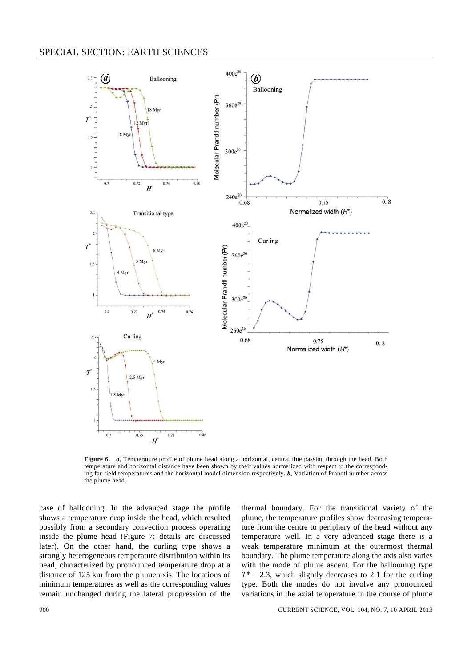

**Figure 6.** *a*, Temperature profile of plume head along a horizontal, central line passing through the head. Both temperature and horizontal distance have been shown by their values normalized with respect to the corresponding far-field temperatures and the horizontal model dimension respectively. *b*, Variation of Prandtl number across the plume head.

case of ballooning. In the advanced stage the profile shows a temperature drop inside the head, which resulted possibly from a secondary convection process operating inside the plume head (Figure 7; details are discussed later). On the other hand, the curling type shows a strongly heterogeneous temperature distribution within its head, characterized by pronounced temperature drop at a distance of 125 km from the plume axis. The locations of minimum temperatures as well as the corresponding values remain unchanged during the lateral progression of the thermal boundary. For the transitional variety of the plume, the temperature profiles show decreasing temperature from the centre to periphery of the head without any temperature well. In a very advanced stage there is a weak temperature minimum at the outermost thermal boundary. The plume temperature along the axis also varies with the mode of plume ascent. For the ballooning type  $T^* = 2.3$ , which slightly decreases to 2.1 for the curling type. Both the modes do not involve any pronounced variations in the axial temperature in the course of plume

900 CURRENT SCIENCE, VOL. 104, NO. 7, 10 APRIL 2013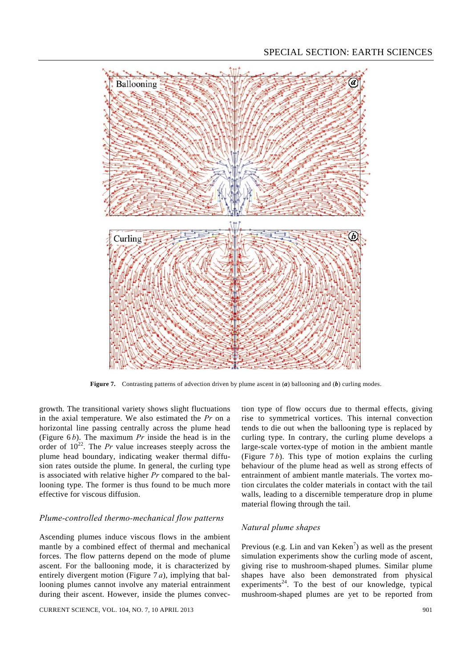

**Figure 7.** Contrasting patterns of advection driven by plume ascent in (*a*) ballooning and (*b*) curling modes.

growth. The transitional variety shows slight fluctuations in the axial temperature. We also estimated the *Pr* on a horizontal line passing centrally across the plume head (Figure 6 *b*). The maximum *Pr* inside the head is in the order of  $10^{22}$ . The *Pr* value increases steeply across the plume head boundary, indicating weaker thermal diffusion rates outside the plume. In general, the curling type is associated with relative higher *Pr* compared to the ballooning type. The former is thus found to be much more effective for viscous diffusion.

### *Plume-controlled thermo-mechanical flow patterns*

Ascending plumes induce viscous flows in the ambient mantle by a combined effect of thermal and mechanical forces. The flow patterns depend on the mode of plume ascent. For the ballooning mode, it is characterized by entirely divergent motion (Figure 7 *a*), implying that ballooning plumes cannot involve any material entrainment during their ascent. However, inside the plumes convec-

CURRENT SCIENCE, VOL. 104, NO. 7, 10 APRIL 2013 901

tion type of flow occurs due to thermal effects, giving rise to symmetrical vortices. This internal convection tends to die out when the ballooning type is replaced by curling type. In contrary, the curling plume develops a large-scale vortex-type of motion in the ambient mantle (Figure  $7 b$ ). This type of motion explains the curling behaviour of the plume head as well as strong effects of entrainment of ambient mantle materials. The vortex motion circulates the colder materials in contact with the tail walls, leading to a discernible temperature drop in plume material flowing through the tail.

## *Natural plume shapes*

Previous (e.g. Lin and van Keken<sup>7</sup>) as well as the present simulation experiments show the curling mode of ascent, giving rise to mushroom-shaped plumes. Similar plume shapes have also been demonstrated from physical experiments<sup>24</sup>. To the best of our knowledge, typical mushroom-shaped plumes are yet to be reported from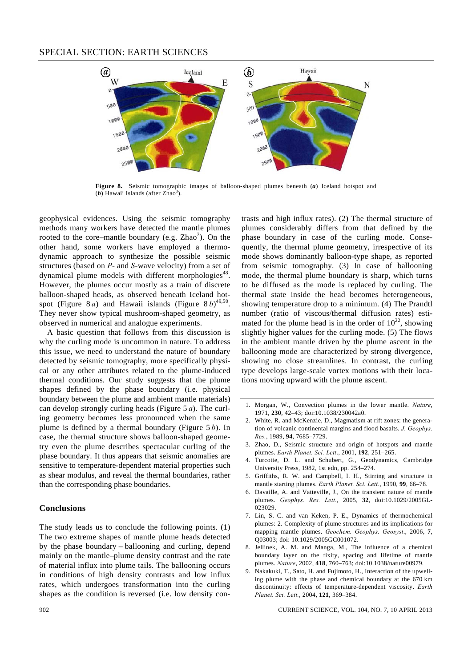

**Figure 8.** Seismic tomographic images of balloon-shaped plumes beneath (*a*) Iceland hotspot and  $(b)$  Hawaii Islands (after Zhao<sup>3</sup>).

geophysical evidences. Using the seismic tomography methods many workers have detected the mantle plumes rooted to the core–mantle boundary (e.g.  $Zhao<sup>3</sup>$ ). On the other hand, some workers have employed a thermodynamic approach to synthesize the possible seismic structures (based on *P*- and *S*-wave velocity) from a set of dynamical plume models with different morphologies<sup> $48$ </sup>. However, the plumes occur mostly as a train of discrete balloon-shaped heads, as observed beneath Iceland hotspot (Figure 8*a*) and Hawaii islands (Figure 8*b*)<sup>49,50</sup>. They never show typical mushroom-shaped geometry, as observed in numerical and analogue experiments.

 A basic question that follows from this discussion is why the curling mode is uncommon in nature. To address this issue, we need to understand the nature of boundary detected by seismic tomography, more specifically physical or any other attributes related to the plume-induced thermal conditions. Our study suggests that the plume shapes defined by the phase boundary (i.e. physical boundary between the plume and ambient mantle materials) can develop strongly curling heads (Figure 5 *a*). The curling geometry becomes less pronounced when the same plume is defined by a thermal boundary (Figure 5 *b*). In case, the thermal structure shows balloon-shaped geometry even the plume describes spectacular curling of the phase boundary. It thus appears that seismic anomalies are sensitive to temperature-dependent material properties such as shear modulus, and reveal the thermal boundaries, rather than the corresponding phase boundaries.

#### **Conclusions**

The study leads us to conclude the following points. (1) The two extreme shapes of mantle plume heads detected by the phase boundary – ballooning and curling, depend mainly on the mantle–plume density contrast and the rate of material influx into plume tails. The ballooning occurs in conditions of high density contrasts and low influx rates, which undergoes transformation into the curling shapes as the condition is reversed (i.e. low density contrasts and high influx rates). (2) The thermal structure of plumes considerably differs from that defined by the phase boundary in case of the curling mode. Consequently, the thermal plume geometry, irrespective of its mode shows dominantly balloon-type shape, as reported from seismic tomography. (3) In case of ballooning mode, the thermal plume boundary is sharp, which turns to be diffused as the mode is replaced by curling. The thermal state inside the head becomes heterogeneous, showing temperature drop to a minimum. (4) The Prandtl number (ratio of viscous/thermal diffusion rates) estimated for the plume head is in the order of  $10^{22}$ , showing slightly higher values for the curling mode. (5) The flows in the ambient mantle driven by the plume ascent in the ballooning mode are characterized by strong divergence, showing no close streamlines. In contrast, the curling type develops large-scale vortex motions with their locations moving upward with the plume ascent.

- 1. Morgan, W., Convection plumes in the lower mantle. *Nature*, 1971, **230**, 42–43; doi:10.1038/230042a0.
- 2. White, R. and McKenzie, D., Magmatism at rift zones: the generation of volcanic continental margins and flood basalts. *J. Geophys. Res.*, 1989, **94**, 7685–7729.
- 3. Zhao, D., Seismic structure and origin of hotspots and mantle plumes. *Earth Planet. Sci. Lett*., 2001, **192**, 251–265.
- 4. Turcotte, D. L. and Schubert, G., Geodynamics, Cambridge University Press, 1982, 1st edn, pp. 254–274.
- 5. Griffiths, R. W. and Campbell, I. H., Stirring and structure in mantle starting plumes. *Earth Planet. Sci. Lett.*, 1990, **99**, 66–78.
- 6. Davaille, A. and Vatteville, J., On the transient nature of mantle plumes. *Geophys. Res. Lett.*, 2005, **32**, doi:10.1029/2005GL-023029.
- 7. Lin, S. C. and van Keken, P. E., Dynamics of thermochemical plumes: 2. Complexity of plume structures and its implications for mapping mantle plumes. *Geochem. Geophys. Geosyst*., 2006, **7**, Q03003; doi: 10.1029/2005GC001072.
- 8. Jellinek, A. M. and Manga, M., The influence of a chemical boundary layer on the fixity, spacing and lifetime of mantle plumes. *Nature*, 2002, **418**, 760–763; doi:10.1038/nature00979.
- 9. Nakakuki, T., Sato, H. and Fujimoto, H., Interaction of the upwelling plume with the phase and chemical boundary at the 670 km discontinuity: effects of temperature-dependent viscosity. *Earth Planet. Sci. Lett.*, 2004, **121**, 369–384.